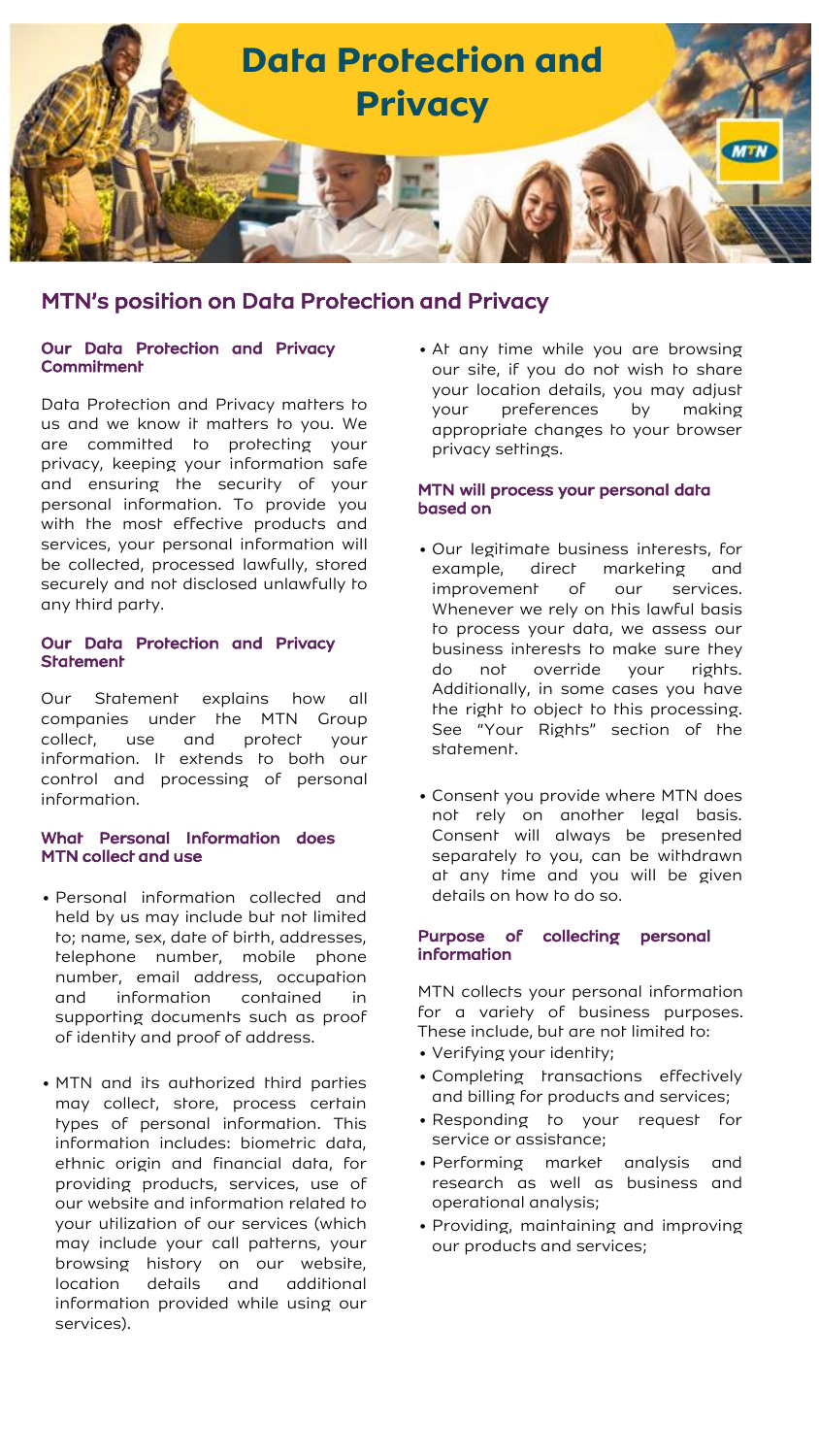

## Our Data Protection and Privacy **Commitment**

Data Protection and Privacy matters to us and we know it matters to you. We are committed to protecting your privacy, keeping your information safe and ensuring the security of your personal information. To provide you with the most effective products and services, your personal information will be collected, processed lawfully, stored securely and not disclosed unlawfully to any third party.

### Our Data Protection and Privacy **Statement**

Our Statement explains how all companies under the MTN Group collect, use and protect your information. It extends to both our control and processing of personal information.

## What Personal Information does MTN collect and use

- Personal information collected and held by us may include but not limited to; name, sex, date of birth, addresses, telephone number, mobile phone number, email address, occupation and information contained in supporting documents such as proof of identity and proof of address.
- MTN and its authorized third parties may collect, store, process certain types of personal information. This information includes: biometric data, ethnic origin and financial data, for providing products, services, use of our website and information related to your utilization of our services (which may include your call patterns, your browsing history on our website, location details and additional information provided while using our services).

• At any time while you are browsing our site, if you do not wish to share your location details, you may adjust your preferences by making appropriate changes to your browser privacy settings.

## MTN will process your personal data based on

- Our legitimate business interests, for example, direct marketing and improvement of our services. Whenever we rely on this lawful basis to process your data, we assess our business interests to make sure they do not override your rights. Additionally, in some cases you have the right to object to this processing. See "Your Rights" section of the statement.
- Consent you provide where MTN does not rely on another legal basis. Consent will always be presented separately to you, can be withdrawn at any time and you will be given details on how to do so.

### Purpose of collecting personal information

MTN collects your personal information for a variety of business purposes. These include, but are not limited to:

- Verifying your identity;
- Completing transactions effectively and billing for products and services;
- Responding to your request for service or assistance;
- Performing market analysis and research as well as business and operational analysis;
- Providing, maintaining and improving our products and services;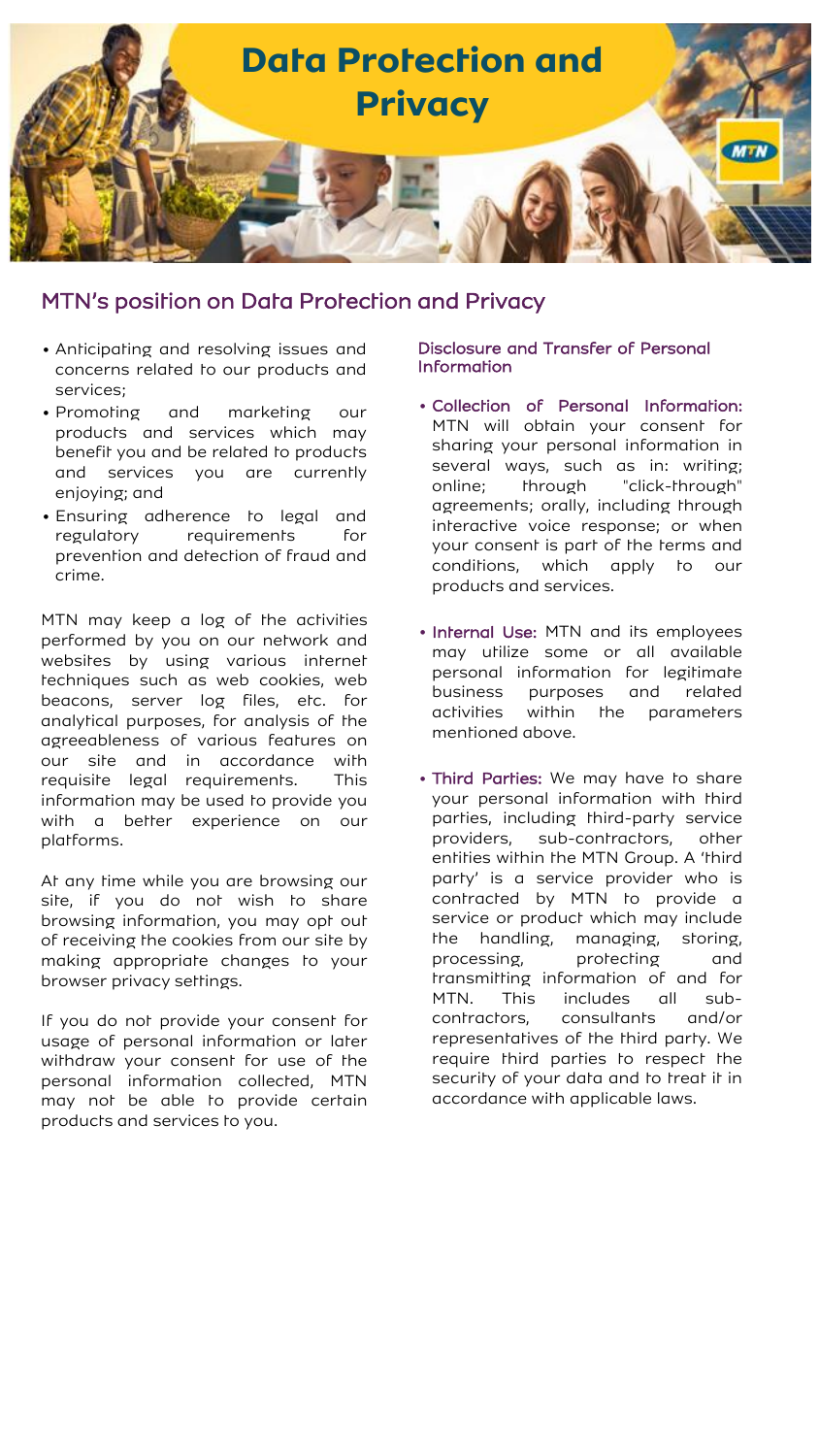

- Anticipating and resolving issues and concerns related to our products and services;
- Promoting and marketing our products and services which may benefit you and be related to products and services you are currently enjoying; and
- Ensuring adherence to legal and regulatory requirements for prevention and detection of fraud and crime.

MTN may keep a log of the activities performed by you on our network and websites by using various internet techniques such as web cookies, web beacons, server log files, etc. for analytical purposes, for analysis of the agreeableness of various features on our site and in accordance with requisite legal requirements. This information may be used to provide you with a better experience on our platforms.

At any time while you are browsing our site, if you do not wish to share browsing information, you may opt out of receiving the cookies from our site by making appropriate changes to your browser privacy settings.

If you do not provide your consent for usage of personal information or later withdraw your consent for use of the personal information collected, MTN may not be able to provide certain products and services to you.

## Disclosure and Transfer of Personal Information

- Collection of Personal Information: MTN will obtain your consent for sharing your personal information in several ways, such as in: writing; online; through "click-through" agreements; orally, including through interactive voice response; or when your consent is part of the terms and conditions, which apply to our products and services.
- Internal Use: MTN and its employees may utilize some or all available personal information for legitimate business purposes and related activities within the parameters mentioned above.
- Third Parties: We may have to share your personal information with third parties, including third-party service providers, sub-contractors, other entities within the MTN Group. A 'third party' is a service provider who is contracted by MTN to provide a service or product which may include the handling, managing, storing, processing, protecting and transmitting information of and for MTN. This includes all subcontractors, consultants and/or representatives of the third party. We require third parties to respect the security of your data and to treat it in accordance with applicable laws.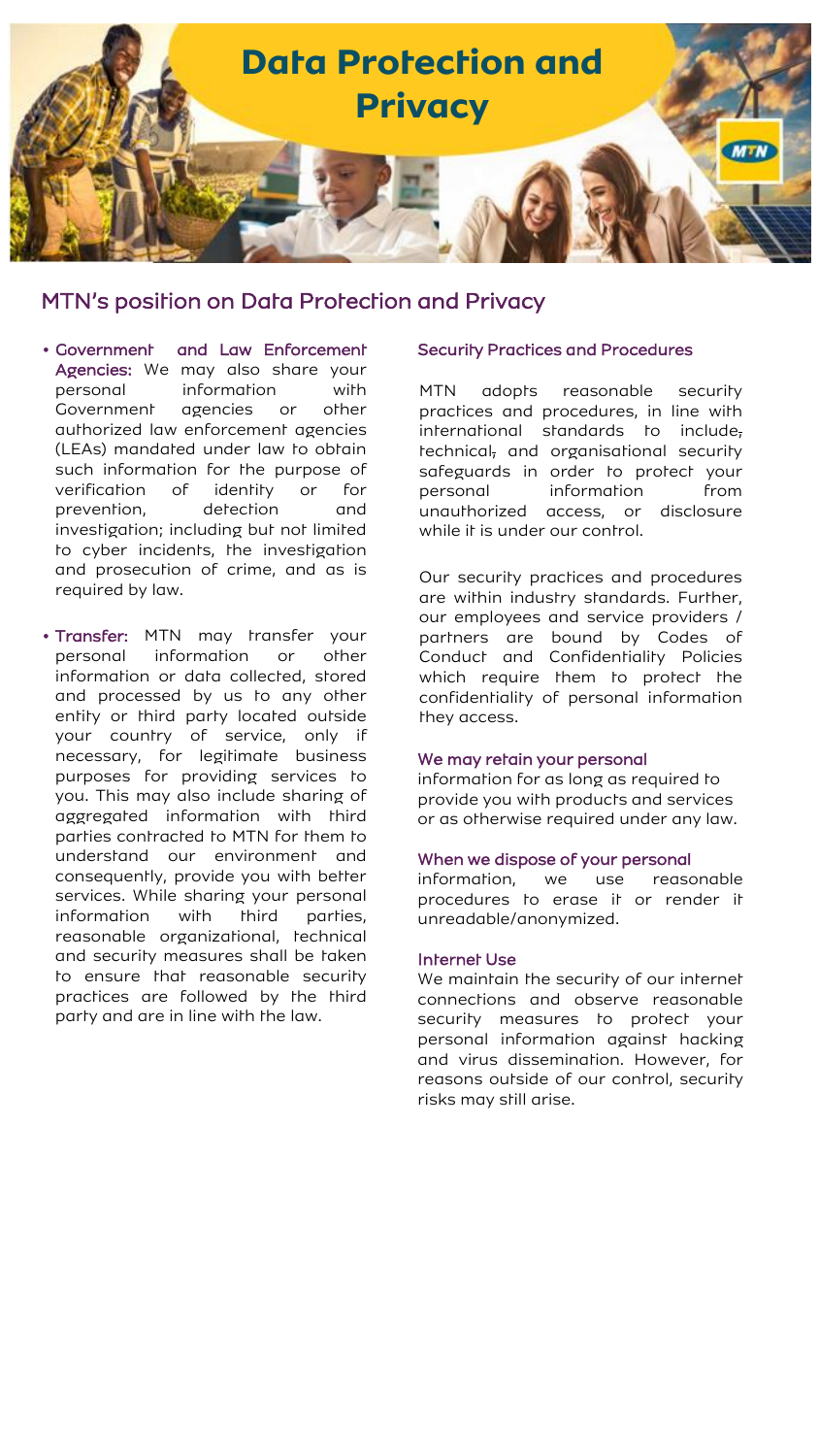

- Government and Law Enforcement Agencies: We may also share your personal information with Government agencies or other authorized law enforcement agencies (LEAs) mandated under law to obtain such information for the purpose of verification of identity or for prevention, detection and investigation; including but not limited to cyber incidents, the investigation and prosecution of crime, and as is required by law.
- Transfer: MTN may transfer your personal information or other information or data collected, stored and processed by us to any other entity or third party located outside your country of service, only if necessary, for legitimate business purposes for providing services to you. This may also include sharing of aggregated information with third parties contracted to MTN for them to understand our environment and consequently, provide you with better services. While sharing your personal information with third parties, reasonable organizational, technical and security measures shall be taken to ensure that reasonable security practices are followed by the third party and are in line with the law.

### Security Practices and Procedures

MTN adopts reasonable security practices and procedures, in line with international standards to include, technical, and organisational security safeguards in order to protect your personal information from unauthorized access, or disclosure while it is under our control.

Our security practices and procedures are within industry standards. Further, our employees and service providers / partners are bound by Codes of Conduct and Confidentiality Policies which require them to protect the confidentiality of personal information they access.

#### We may retain your personal

information for as long as required to provide you with products and services or as otherwise required under any law.

#### When we dispose of your personal

information, we use reasonable procedures to erase it or render it unreadable/anonymized.

#### Internet Use

We maintain the security of our internet connections and observe reasonable security measures to protect your personal information against hacking and virus dissemination. However, for reasons outside of our control, security risks may still arise.